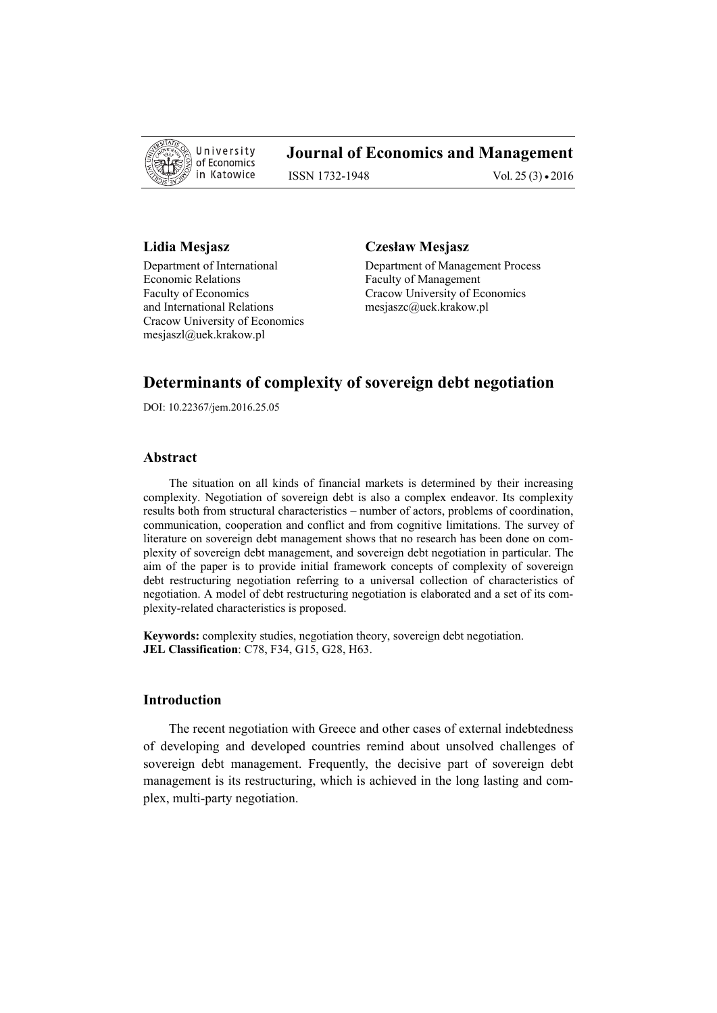

# **Journal of Economics and Management**

ISSN 1732-1948 Vol. 25 (3) • 2016

Department of International Department of Management Process Economic Relations Faculty of Management Faculty of Economics Cracow University of Economics and International Relations mesjaszc@uek.krakow.pl Cracow University of Economics mesjaszl@uek.krakow.pl

#### **Lidia Mesjasz Czesław Mesjasz**

# **Determinants of complexity of sovereign debt negotiation**

DOI: 10.22367/jem.2016.25.05

### **Abstract**

The situation on all kinds of financial markets is determined by their increasing complexity. Negotiation of sovereign debt is also a complex endeavor. Its complexity results both from structural characteristics – number of actors, problems of coordination, communication, cooperation and conflict and from cognitive limitations. The survey of literature on sovereign debt management shows that no research has been done on complexity of sovereign debt management, and sovereign debt negotiation in particular. The aim of the paper is to provide initial framework concepts of complexity of sovereign debt restructuring negotiation referring to a universal collection of characteristics of negotiation. A model of debt restructuring negotiation is elaborated and a set of its complexity-related characteristics is proposed.

**Keywords:** complexity studies, negotiation theory, sovereign debt negotiation. **JEL Classification**: C78, F34, G15, G28, H63.

# **Introduction**

The recent negotiation with Greece and other cases of external indebtedness of developing and developed countries remind about unsolved challenges of sovereign debt management. Frequently, the decisive part of sovereign debt management is its restructuring, which is achieved in the long lasting and complex, multi-party negotiation.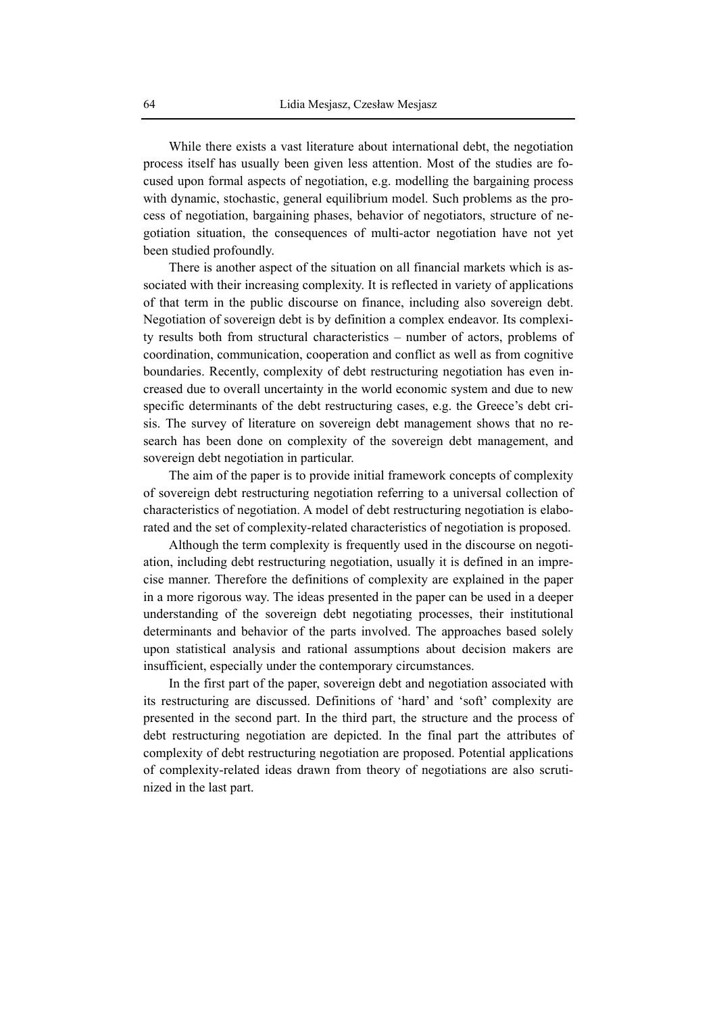While there exists a vast literature about international debt, the negotiation process itself has usually been given less attention. Most of the studies are focused upon formal aspects of negotiation, e.g. modelling the bargaining process with dynamic, stochastic, general equilibrium model. Such problems as the process of negotiation, bargaining phases, behavior of negotiators, structure of negotiation situation, the consequences of multi-actor negotiation have not yet been studied profoundly.

There is another aspect of the situation on all financial markets which is associated with their increasing complexity. It is reflected in variety of applications of that term in the public discourse on finance, including also sovereign debt. Negotiation of sovereign debt is by definition a complex endeavor. Its complexity results both from structural characteristics – number of actors, problems of coordination, communication, cooperation and conflict as well as from cognitive boundaries. Recently, complexity of debt restructuring negotiation has even increased due to overall uncertainty in the world economic system and due to new specific determinants of the debt restructuring cases, e.g. the Greece's debt crisis. The survey of literature on sovereign debt management shows that no research has been done on complexity of the sovereign debt management, and sovereign debt negotiation in particular.

The aim of the paper is to provide initial framework concepts of complexity of sovereign debt restructuring negotiation referring to a universal collection of characteristics of negotiation. A model of debt restructuring negotiation is elaborated and the set of complexity-related characteristics of negotiation is proposed.

Although the term complexity is frequently used in the discourse on negotiation, including debt restructuring negotiation, usually it is defined in an imprecise manner. Therefore the definitions of complexity are explained in the paper in a more rigorous way. The ideas presented in the paper can be used in a deeper understanding of the sovereign debt negotiating processes, their institutional determinants and behavior of the parts involved. The approaches based solely upon statistical analysis and rational assumptions about decision makers are insufficient, especially under the contemporary circumstances.

In the first part of the paper, sovereign debt and negotiation associated with its restructuring are discussed. Definitions of 'hard' and 'soft' complexity are presented in the second part. In the third part, the structure and the process of debt restructuring negotiation are depicted. In the final part the attributes of complexity of debt restructuring negotiation are proposed. Potential applications of complexity-related ideas drawn from theory of negotiations are also scrutinized in the last part.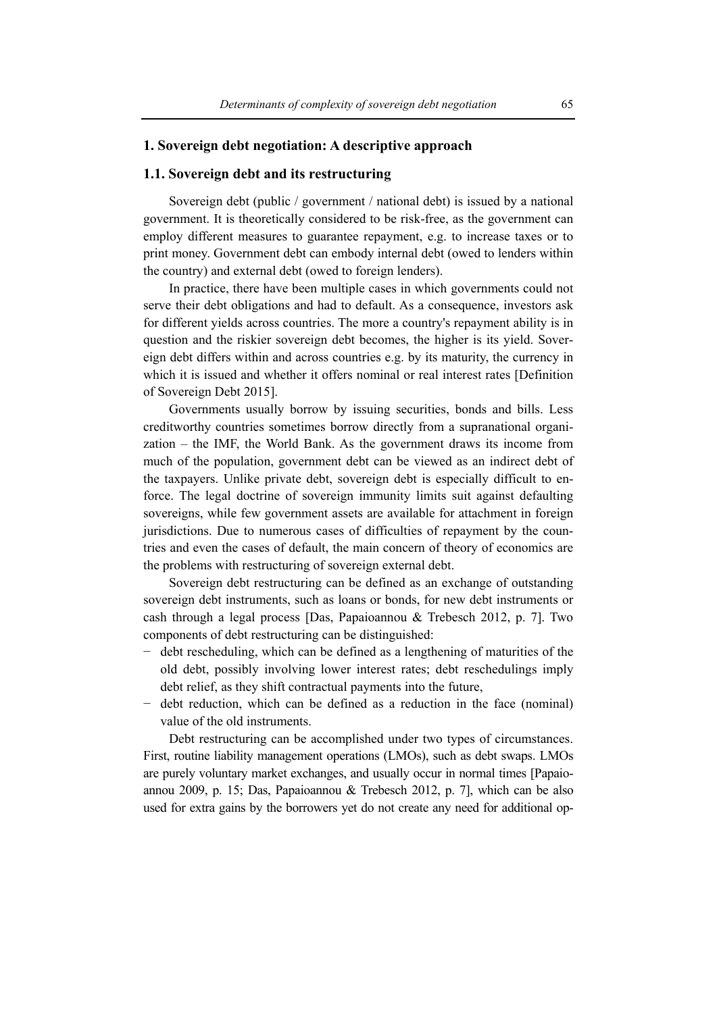### **1. Sovereign debt negotiation: A descriptive approach**

# **1.1. Sovereign debt and its restructuring**

Sovereign debt (public / government / national debt) is issued by a national government. It is theoretically considered to be risk-free, as the government can employ different measures to guarantee repayment, e.g. to increase taxes or to print money. Government debt can embody internal debt (owed to lenders within the country) and external debt (owed to foreign lenders).

In practice, there have been multiple cases in which governments could not serve their debt obligations and had to default. As a consequence, investors ask for different yields across countries. The more a country's repayment ability is in question and the riskier sovereign debt becomes, the higher is its yield. Sovereign debt differs within and across countries e.g. by its maturity, the currency in which it is issued and whether it offers nominal or real interest rates [Definition of Sovereign Debt 2015].

Governments usually borrow by issuing securities, bonds and bills. Less creditworthy countries sometimes borrow directly from a supranational organization – the IMF, the World Bank. As the government draws its income from much of the population, government debt can be viewed as an indirect debt of the taxpayers. Unlike private debt, sovereign debt is especially difficult to enforce. The legal doctrine of sovereign immunity limits suit against defaulting sovereigns, while few government assets are available for attachment in foreign jurisdictions. Due to numerous cases of difficulties of repayment by the countries and even the cases of default, the main concern of theory of economics are the problems with restructuring of sovereign external debt.

Sovereign debt restructuring can be defined as an exchange of outstanding sovereign debt instruments, such as loans or bonds, for new debt instruments or cash through a legal process [Das, Papaioannou & Trebesch 2012, p. 7]. Two components of debt restructuring can be distinguished:

- − debt rescheduling, which can be defined as a lengthening of maturities of the old debt, possibly involving lower interest rates; debt reschedulings imply debt relief, as they shift contractual payments into the future,
- − debt reduction, which can be defined as a reduction in the face (nominal) value of the old instruments.

Debt restructuring can be accomplished under two types of circumstances. First, routine liability management operations (LMOs), such as debt swaps. LMOs are purely voluntary market exchanges, and usually occur in normal times [Papaioannou 2009, p. 15; Das, Papaioannou & Trebesch 2012, p. 7], which can be also used for extra gains by the borrowers yet do not create any need for additional op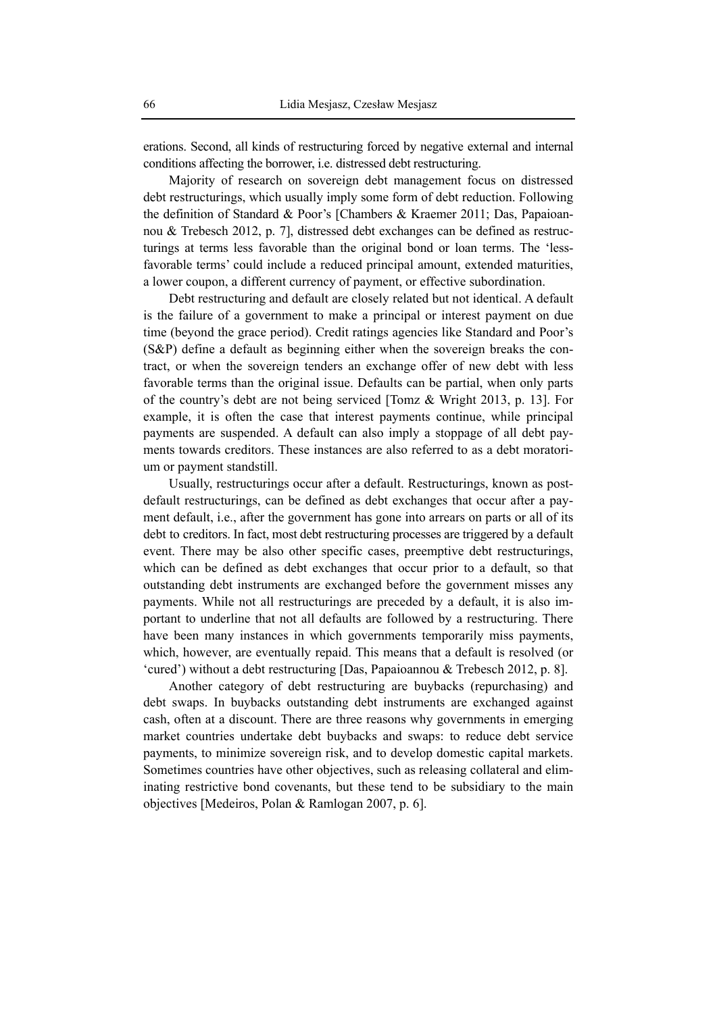erations. Second, all kinds of restructuring forced by negative external and internal conditions affecting the borrower, i.e. distressed debt restructuring.

Majority of research on sovereign debt management focus on distressed debt restructurings, which usually imply some form of debt reduction. Following the definition of Standard & Poor's [Chambers & Kraemer 2011; Das, Papaioannou & Trebesch 2012, p. 7], distressed debt exchanges can be defined as restructurings at terms less favorable than the original bond or loan terms. The 'lessfavorable terms' could include a reduced principal amount, extended maturities, a lower coupon, a different currency of payment, or effective subordination.

Debt restructuring and default are closely related but not identical. A default is the failure of a government to make a principal or interest payment on due time (beyond the grace period). Credit ratings agencies like Standard and Poor's (S&P) define a default as beginning either when the sovereign breaks the contract, or when the sovereign tenders an exchange offer of new debt with less favorable terms than the original issue. Defaults can be partial, when only parts of the country's debt are not being serviced [Tomz & Wright 2013, p. 13]. For example, it is often the case that interest payments continue, while principal payments are suspended. A default can also imply a stoppage of all debt payments towards creditors. These instances are also referred to as a debt moratorium or payment standstill.

Usually, restructurings occur after a default. Restructurings, known as postdefault restructurings, can be defined as debt exchanges that occur after a payment default, i.e., after the government has gone into arrears on parts or all of its debt to creditors. In fact, most debt restructuring processes are triggered by a default event. There may be also other specific cases, preemptive debt restructurings, which can be defined as debt exchanges that occur prior to a default, so that outstanding debt instruments are exchanged before the government misses any payments. While not all restructurings are preceded by a default, it is also important to underline that not all defaults are followed by a restructuring. There have been many instances in which governments temporarily miss payments, which, however, are eventually repaid. This means that a default is resolved (or 'cured') without a debt restructuring [Das, Papaioannou & Trebesch 2012, p. 8].

Another category of debt restructuring are buybacks (repurchasing) and debt swaps. In buybacks outstanding debt instruments are exchanged against cash, often at a discount. There are three reasons why governments in emerging market countries undertake debt buybacks and swaps: to reduce debt service payments, to minimize sovereign risk, and to develop domestic capital markets. Sometimes countries have other objectives, such as releasing collateral and eliminating restrictive bond covenants, but these tend to be subsidiary to the main objectives [Medeiros, Polan & Ramlogan 2007, p. 6].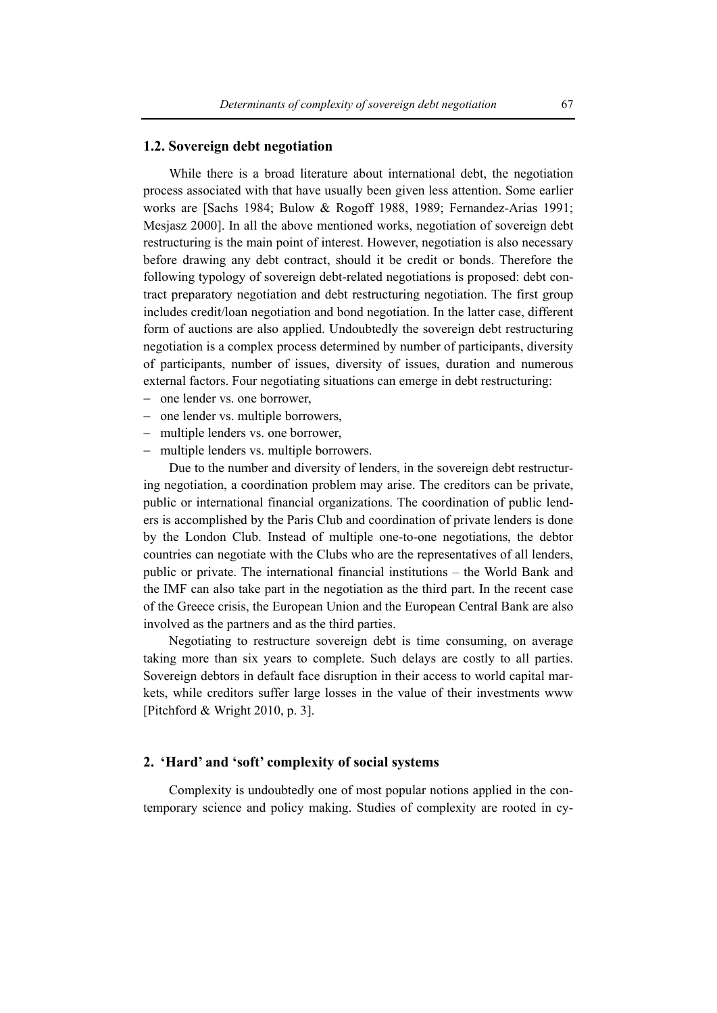### **1.2. Sovereign debt negotiation**

While there is a broad literature about international debt, the negotiation process associated with that have usually been given less attention. Some earlier works are [Sachs 1984; Bulow & Rogoff 1988, 1989; Fernandez-Arias 1991; Mesjasz 2000]. In all the above mentioned works, negotiation of sovereign debt restructuring is the main point of interest. However, negotiation is also necessary before drawing any debt contract, should it be credit or bonds. Therefore the following typology of sovereign debt-related negotiations is proposed: debt contract preparatory negotiation and debt restructuring negotiation. The first group includes credit/loan negotiation and bond negotiation. In the latter case, different form of auctions are also applied. Undoubtedly the sovereign debt restructuring negotiation is a complex process determined by number of participants, diversity of participants, number of issues, diversity of issues, duration and numerous external factors. Four negotiating situations can emerge in debt restructuring:

- − one lender vs. one borrower,
- − one lender vs. multiple borrowers,
- − multiple lenders vs. one borrower,
- − multiple lenders vs. multiple borrowers.

Due to the number and diversity of lenders, in the sovereign debt restructuring negotiation, a coordination problem may arise. The creditors can be private, public or international financial organizations. The coordination of public lenders is accomplished by the Paris Club and coordination of private lenders is done by the London Club. Instead of multiple one-to-one negotiations, the debtor countries can negotiate with the Clubs who are the representatives of all lenders, public or private. The international financial institutions – the World Bank and the IMF can also take part in the negotiation as the third part. In the recent case of the Greece crisis, the European Union and the European Central Bank are also involved as the partners and as the third parties.

Negotiating to restructure sovereign debt is time consuming, on average taking more than six years to complete. Such delays are costly to all parties. Sovereign debtors in default face disruption in their access to world capital markets, while creditors suffer large losses in the value of their investments www [Pitchford & Wright 2010, p. 3].

# **2. 'Hard' and 'soft' complexity of social systems**

Complexity is undoubtedly one of most popular notions applied in the contemporary science and policy making. Studies of complexity are rooted in cy-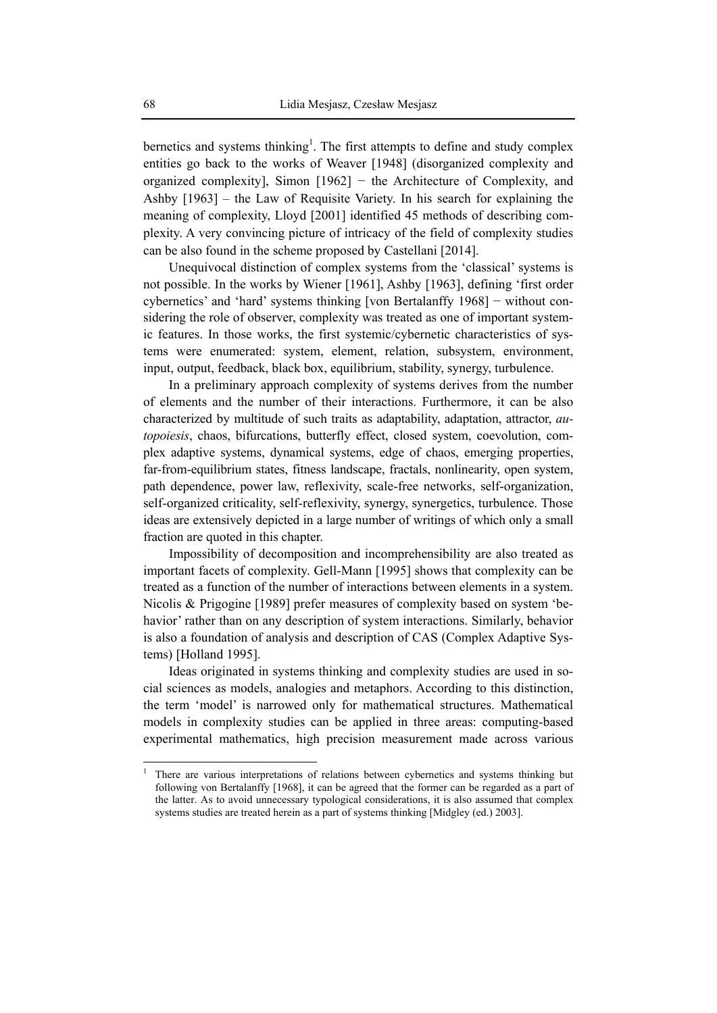bernetics and systems thinking<sup>1</sup>. The first attempts to define and study complex entities go back to the works of Weaver [1948] (disorganized complexity and organized complexity], Simon [1962] − the Architecture of Complexity, and Ashby [1963] – the Law of Requisite Variety. In his search for explaining the meaning of complexity, Lloyd [2001] identified 45 methods of describing complexity. A very convincing picture of intricacy of the field of complexity studies can be also found in the scheme proposed by Castellani [2014].

Unequivocal distinction of complex systems from the 'classical' systems is not possible. In the works by Wiener [1961], Ashby [1963], defining 'first order cybernetics' and 'hard' systems thinking [von Bertalanffy 1968] − without considering the role of observer, complexity was treated as one of important systemic features. In those works, the first systemic/cybernetic characteristics of systems were enumerated: system, element, relation, subsystem, environment, input, output, feedback, black box, equilibrium, stability, synergy, turbulence.

In a preliminary approach complexity of systems derives from the number of elements and the number of their interactions. Furthermore, it can be also characterized by multitude of such traits as adaptability, adaptation, attractor, *autopoiesis*, chaos, bifurcations, butterfly effect, closed system, coevolution, complex adaptive systems, dynamical systems, edge of chaos, emerging properties, far-from-equilibrium states, fitness landscape, fractals, nonlinearity, open system, path dependence, power law, reflexivity, scale-free networks, self-organization, self-organized criticality, self-reflexivity, synergy, synergetics, turbulence. Those ideas are extensively depicted in a large number of writings of which only a small fraction are quoted in this chapter.

Impossibility of decomposition and incomprehensibility are also treated as important facets of complexity. Gell-Mann [1995] shows that complexity can be treated as a function of the number of interactions between elements in a system. Nicolis & Prigogine [1989] prefer measures of complexity based on system 'behavior' rather than on any description of system interactions. Similarly, behavior is also a foundation of analysis and description of CAS (Complex Adaptive Systems) [Holland 1995].

Ideas originated in systems thinking and complexity studies are used in social sciences as models, analogies and metaphors. According to this distinction, the term 'model' is narrowed only for mathematical structures. Mathematical models in complexity studies can be applied in three areas: computing-based experimental mathematics, high precision measurement made across various

 $\overline{a}$ 

<sup>1</sup> There are various interpretations of relations between cybernetics and systems thinking but following von Bertalanffy [1968], it can be agreed that the former can be regarded as a part of the latter. As to avoid unnecessary typological considerations, it is also assumed that complex systems studies are treated herein as a part of systems thinking [Midgley (ed.) 2003].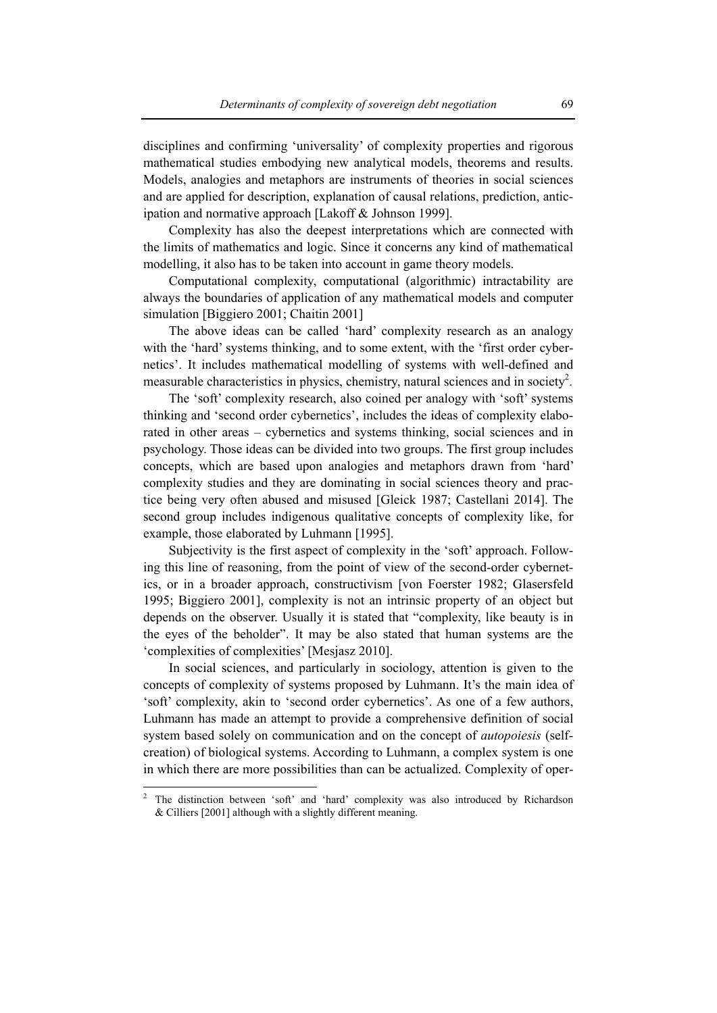disciplines and confirming 'universality' of complexity properties and rigorous mathematical studies embodying new analytical models, theorems and results. Models, analogies and metaphors are instruments of theories in social sciences and are applied for description, explanation of causal relations, prediction, anticipation and normative approach [Lakoff & Johnson 1999].

Complexity has also the deepest interpretations which are connected with the limits of mathematics and logic. Since it concerns any kind of mathematical modelling, it also has to be taken into account in game theory models.

Computational complexity, computational (algorithmic) intractability are always the boundaries of application of any mathematical models and computer simulation [Biggiero 2001; Chaitin 2001]

The above ideas can be called 'hard' complexity research as an analogy with the 'hard' systems thinking, and to some extent, with the 'first order cybernetics'. It includes mathematical modelling of systems with well-defined and measurable characteristics in physics, chemistry, natural sciences and in society<sup>2</sup>.

The 'soft' complexity research, also coined per analogy with 'soft' systems thinking and 'second order cybernetics', includes the ideas of complexity elaborated in other areas – cybernetics and systems thinking, social sciences and in psychology. Those ideas can be divided into two groups. The first group includes concepts, which are based upon analogies and metaphors drawn from 'hard' complexity studies and they are dominating in social sciences theory and practice being very often abused and misused [Gleick 1987; Castellani 2014]. The second group includes indigenous qualitative concepts of complexity like, for example, those elaborated by Luhmann [1995].

Subjectivity is the first aspect of complexity in the 'soft' approach. Following this line of reasoning, from the point of view of the second-order cybernetics, or in a broader approach, constructivism [von Foerster 1982; Glasersfeld 1995; Biggiero 2001], complexity is not an intrinsic property of an object but depends on the observer. Usually it is stated that "complexity, like beauty is in the eyes of the beholder". It may be also stated that human systems are the 'complexities of complexities' [Mesjasz 2010].

In social sciences, and particularly in sociology, attention is given to the concepts of complexity of systems proposed by Luhmann. It's the main idea of 'soft' complexity, akin to 'second order cybernetics'. As one of a few authors, Luhmann has made an attempt to provide a comprehensive definition of social system based solely on communication and on the concept of *autopoiesis* (selfcreation) of biological systems. According to Luhmann, a complex system is one in which there are more possibilities than can be actualized. Complexity of oper-

 $\overline{a}$ 

<sup>2</sup> The distinction between 'soft' and 'hard' complexity was also introduced by Richardson & Cilliers [2001] although with a slightly different meaning.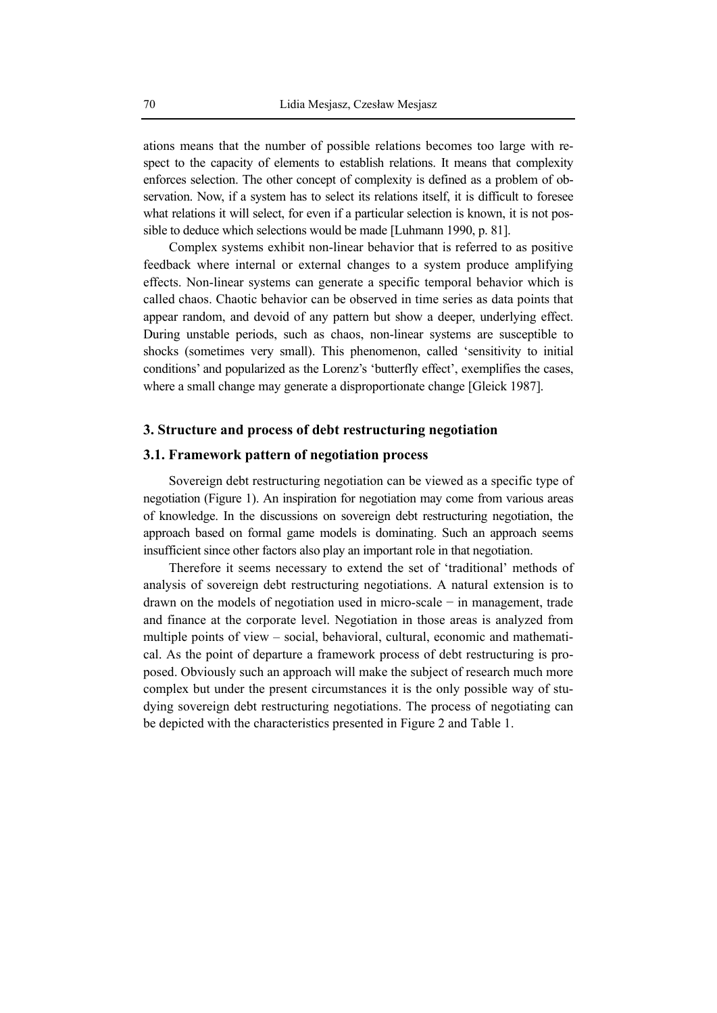ations means that the number of possible relations becomes too large with respect to the capacity of elements to establish relations. It means that complexity enforces selection. The other concept of complexity is defined as a problem of observation. Now, if a system has to select its relations itself, it is difficult to foresee what relations it will select, for even if a particular selection is known, it is not possible to deduce which selections would be made [Luhmann 1990, p. 81].

Complex systems exhibit non-linear behavior that is referred to as positive feedback where internal or external changes to a system produce amplifying effects. Non-linear systems can generate a specific temporal behavior which is called chaos. Chaotic behavior can be observed in time series as data points that appear random, and devoid of any pattern but show a deeper, underlying effect. During unstable periods, such as chaos, non-linear systems are susceptible to shocks (sometimes very small). This phenomenon, called 'sensitivity to initial conditions' and popularized as the Lorenz's 'butterfly effect', exemplifies the cases, where a small change may generate a disproportionate change [Gleick 1987].

# **3. Structure and process of debt restructuring negotiation**

# **3.1. Framework pattern of negotiation process**

Sovereign debt restructuring negotiation can be viewed as a specific type of negotiation (Figure 1). An inspiration for negotiation may come from various areas of knowledge. In the discussions on sovereign debt restructuring negotiation, the approach based on formal game models is dominating. Such an approach seems insufficient since other factors also play an important role in that negotiation.

Therefore it seems necessary to extend the set of 'traditional' methods of analysis of sovereign debt restructuring negotiations. A natural extension is to drawn on the models of negotiation used in micro-scale − in management, trade and finance at the corporate level. Negotiation in those areas is analyzed from multiple points of view – social, behavioral, cultural, economic and mathematical. As the point of departure a framework process of debt restructuring is proposed. Obviously such an approach will make the subject of research much more complex but under the present circumstances it is the only possible way of studying sovereign debt restructuring negotiations. The process of negotiating can be depicted with the characteristics presented in Figure 2 and Table 1.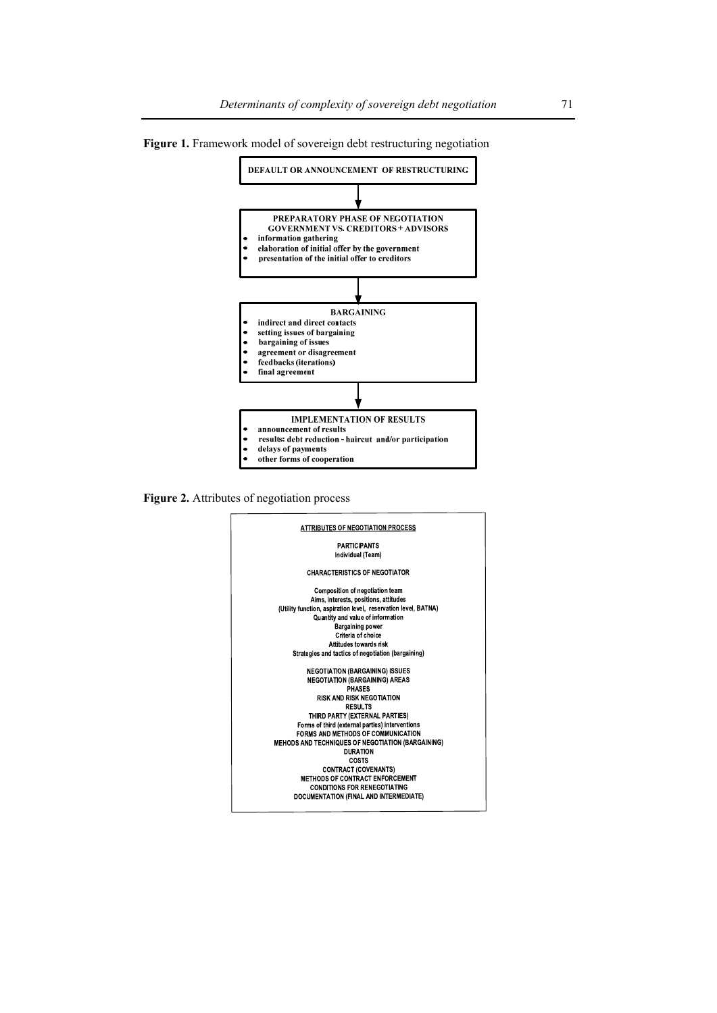

**Figure 1.** Framework model of sovereign debt restructuring negotiation

**Figure 2.** Attributes of negotiation process

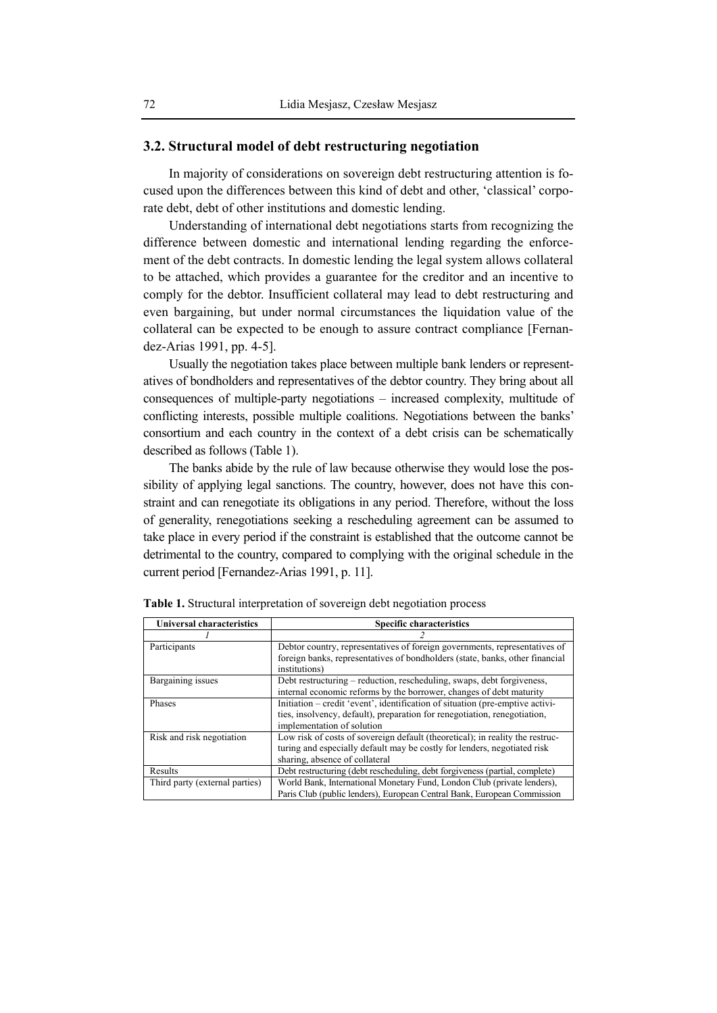### **3.2. Structural model of debt restructuring negotiation**

In majority of considerations on sovereign debt restructuring attention is focused upon the differences between this kind of debt and other, 'classical' corporate debt, debt of other institutions and domestic lending.

Understanding of international debt negotiations starts from recognizing the difference between domestic and international lending regarding the enforcement of the debt contracts. In domestic lending the legal system allows collateral to be attached, which provides a guarantee for the creditor and an incentive to comply for the debtor. Insufficient collateral may lead to debt restructuring and even bargaining, but under normal circumstances the liquidation value of the collateral can be expected to be enough to assure contract compliance [Fernandez-Arias 1991, pp. 4-5].

Usually the negotiation takes place between multiple bank lenders or representatives of bondholders and representatives of the debtor country. They bring about all consequences of multiple-party negotiations – increased complexity, multitude of conflicting interests, possible multiple coalitions. Negotiations between the banks' consortium and each country in the context of a debt crisis can be schematically described as follows (Table 1).

The banks abide by the rule of law because otherwise they would lose the possibility of applying legal sanctions. The country, however, does not have this constraint and can renegotiate its obligations in any period. Therefore, without the loss of generality, renegotiations seeking a rescheduling agreement can be assumed to take place in every period if the constraint is established that the outcome cannot be detrimental to the country, compared to complying with the original schedule in the current period [Fernandez-Arias 1991, p. 11].

| <b>Universal characteristics</b> | <b>Specific characteristics</b>                                                                                                                                                             |
|----------------------------------|---------------------------------------------------------------------------------------------------------------------------------------------------------------------------------------------|
|                                  |                                                                                                                                                                                             |
| Participants                     | Debtor country, representatives of foreign governments, representatives of<br>foreign banks, representatives of bondholders (state, banks, other financial<br>institutions)                 |
| Bargaining issues                | Debt restructuring – reduction, rescheduling, swaps, debt for giveness,<br>internal economic reforms by the borrower, changes of debt maturity                                              |
| Phases                           | Initiation – credit 'event', identification of situation (pre-emptive activi-<br>ties, insolvency, default), preparation for renegotiation, renegotiation,<br>implementation of solution    |
| Risk and risk negotiation        | Low risk of costs of sovereign default (theoretical); in reality the restruc-<br>turing and especially default may be costly for lenders, negotiated risk<br>sharing, absence of collateral |
| Results                          | Debt restructuring (debt rescheduling, debt forgiveness (partial, complete)                                                                                                                 |
| Third party (external parties)   | World Bank, International Monetary Fund, London Club (private lenders),<br>Paris Club (public lenders), European Central Bank, European Commission                                          |

**Table 1.** Structural interpretation of sovereign debt negotiation process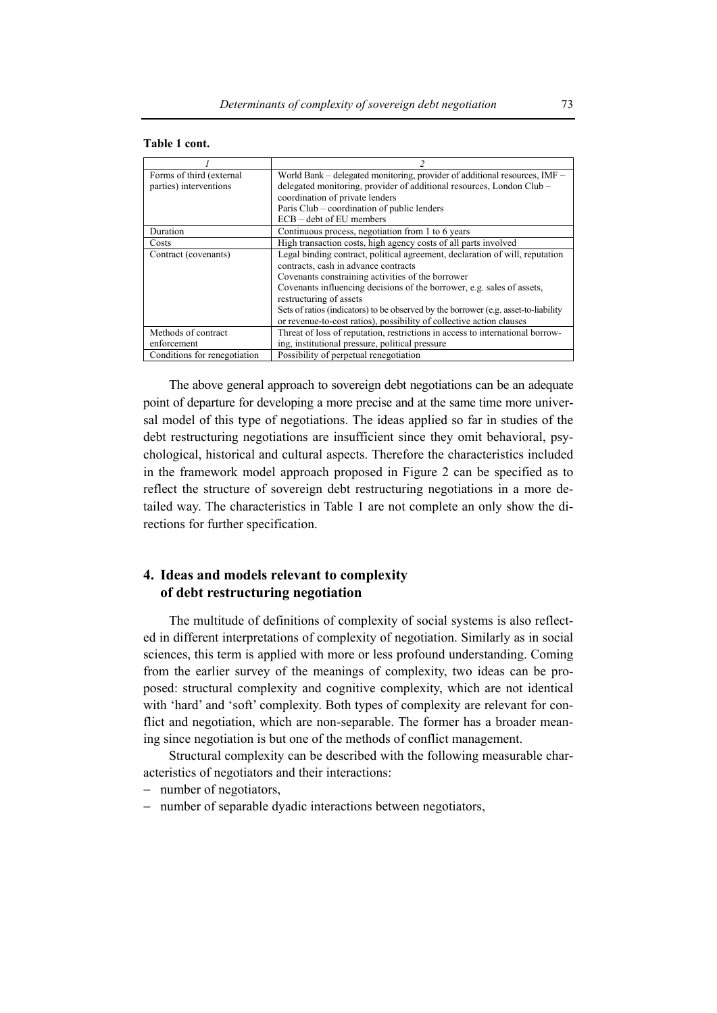| Table 1 cont. |
|---------------|
|               |

| Forms of third (external     | World Bank - delegated monitoring, provider of additional resources, IMF -          |
|------------------------------|-------------------------------------------------------------------------------------|
| parties) interventions       | delegated monitoring, provider of additional resources, London Club –               |
|                              | coordination of private lenders                                                     |
|                              | Paris Club – coordination of public lenders                                         |
|                              | ECB - debt of EU members                                                            |
| Duration                     | Continuous process, negotiation from 1 to 6 years                                   |
| Costs                        | High transaction costs, high agency costs of all parts involved                     |
| Contract (covenants)         | Legal binding contract, political agreement, declaration of will, reputation        |
|                              | contracts, cash in advance contracts                                                |
|                              | Covenants constraining activities of the borrower                                   |
|                              | Covenants influencing decisions of the borrower, e.g. sales of assets,              |
|                              | restructuring of assets                                                             |
|                              | Sets of ratios (indicators) to be observed by the borrower (e.g. asset-to-liability |
|                              | or revenue-to-cost ratios), possibility of collective action clauses                |
| Methods of contract          | Threat of loss of reputation, restrictions in access to international borrow-       |
| enforcement                  | ing, institutional pressure, political pressure                                     |
| Conditions for renegotiation | Possibility of perpetual renegotiation                                              |

The above general approach to sovereign debt negotiations can be an adequate point of departure for developing a more precise and at the same time more universal model of this type of negotiations. The ideas applied so far in studies of the debt restructuring negotiations are insufficient since they omit behavioral, psychological, historical and cultural aspects. Therefore the characteristics included in the framework model approach proposed in Figure 2 can be specified as to reflect the structure of sovereign debt restructuring negotiations in a more detailed way. The characteristics in Table 1 are not complete an only show the directions for further specification.

# **4. Ideas and models relevant to complexity of debt restructuring negotiation**

The multitude of definitions of complexity of social systems is also reflected in different interpretations of complexity of negotiation. Similarly as in social sciences, this term is applied with more or less profound understanding. Coming from the earlier survey of the meanings of complexity, two ideas can be proposed: structural complexity and cognitive complexity, which are not identical with 'hard' and 'soft' complexity. Both types of complexity are relevant for conflict and negotiation, which are non-separable. The former has a broader meaning since negotiation is but one of the methods of conflict management.

Structural complexity can be described with the following measurable characteristics of negotiators and their interactions:

- − number of negotiators,
- number of separable dyadic interactions between negotiators,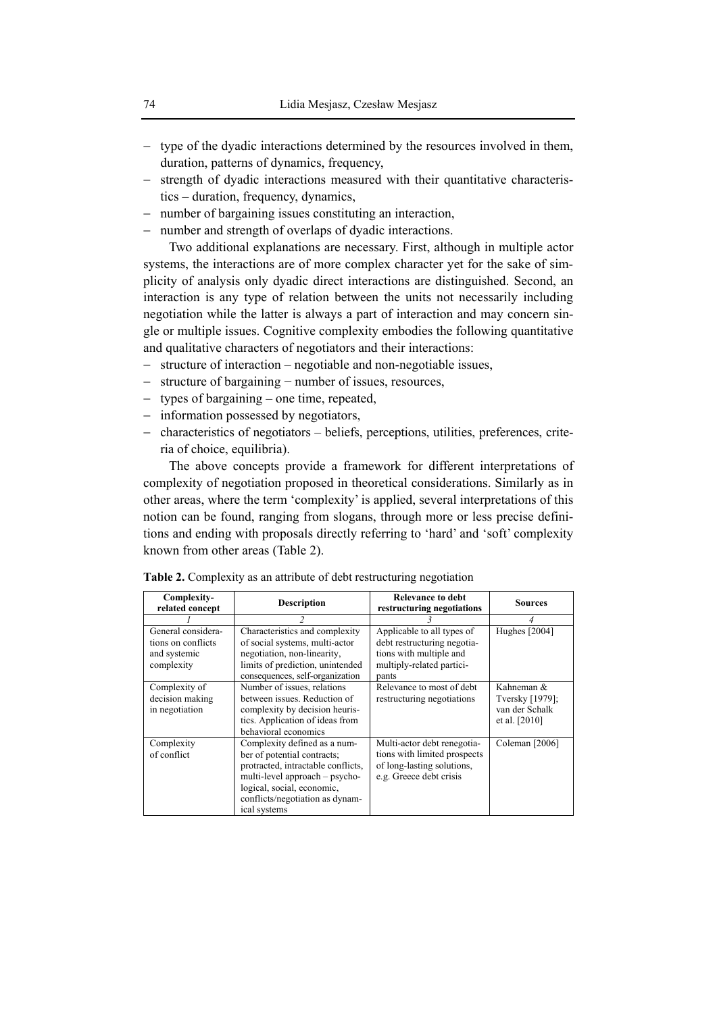- − type of the dyadic interactions determined by the resources involved in them, duration, patterns of dynamics, frequency,
- − strength of dyadic interactions measured with their quantitative characteristics – duration, frequency, dynamics,
- − number of bargaining issues constituting an interaction,
- − number and strength of overlaps of dyadic interactions.

Two additional explanations are necessary. First, although in multiple actor systems, the interactions are of more complex character yet for the sake of simplicity of analysis only dyadic direct interactions are distinguished. Second, an interaction is any type of relation between the units not necessarily including negotiation while the latter is always a part of interaction and may concern single or multiple issues. Cognitive complexity embodies the following quantitative and qualitative characters of negotiators and their interactions:

- − structure of interaction negotiable and non-negotiable issues,
- − structure of bargaining − number of issues, resources,
- − types of bargaining one time, repeated,
- − information possessed by negotiators,
- − characteristics of negotiators beliefs, perceptions, utilities, preferences, criteria of choice, equilibria).

The above concepts provide a framework for different interpretations of complexity of negotiation proposed in theoretical considerations. Similarly as in other areas, where the term 'complexity' is applied, several interpretations of this notion can be found, ranging from slogans, through more or less precise definitions and ending with proposals directly referring to 'hard' and 'soft' complexity known from other areas (Table 2).

| Complexity-<br>related concept                                         | <b>Description</b>                                                                                                                                                                                                   | Relevance to debt<br>restructuring negotiations                                                                            | <b>Sources</b>                                                   |
|------------------------------------------------------------------------|----------------------------------------------------------------------------------------------------------------------------------------------------------------------------------------------------------------------|----------------------------------------------------------------------------------------------------------------------------|------------------------------------------------------------------|
|                                                                        |                                                                                                                                                                                                                      |                                                                                                                            |                                                                  |
| General considera-<br>tions on conflicts<br>and systemic<br>complexity | Characteristics and complexity<br>of social systems, multi-actor<br>negotiation, non-linearity,<br>limits of prediction, unintended<br>consequences, self-organization                                               | Applicable to all types of<br>debt restructuring negotia-<br>tions with multiple and<br>multiply-related partici-<br>pants | Hughes [2004]                                                    |
| Complexity of<br>decision making<br>in negotiation                     | Number of issues, relations<br>between issues. Reduction of<br>complexity by decision heuris-<br>tics. Application of ideas from<br>behavioral economics                                                             | Relevance to most of debt<br>restructuring negotiations                                                                    | Kahneman &<br>Tversky [1979];<br>van der Schalk<br>et al. [2010] |
| Complexity<br>of conflict                                              | Complexity defined as a num-<br>ber of potential contracts;<br>protracted, intractable conflicts,<br>multi-level approach – psycho-<br>logical, social, economic,<br>conflicts/negotiation as dynam-<br>ical systems | Multi-actor debt renegotia-<br>tions with limited prospects<br>of long-lasting solutions,<br>e.g. Greece debt crisis       | Coleman [2006]                                                   |

**Table 2.** Complexity as an attribute of debt restructuring negotiation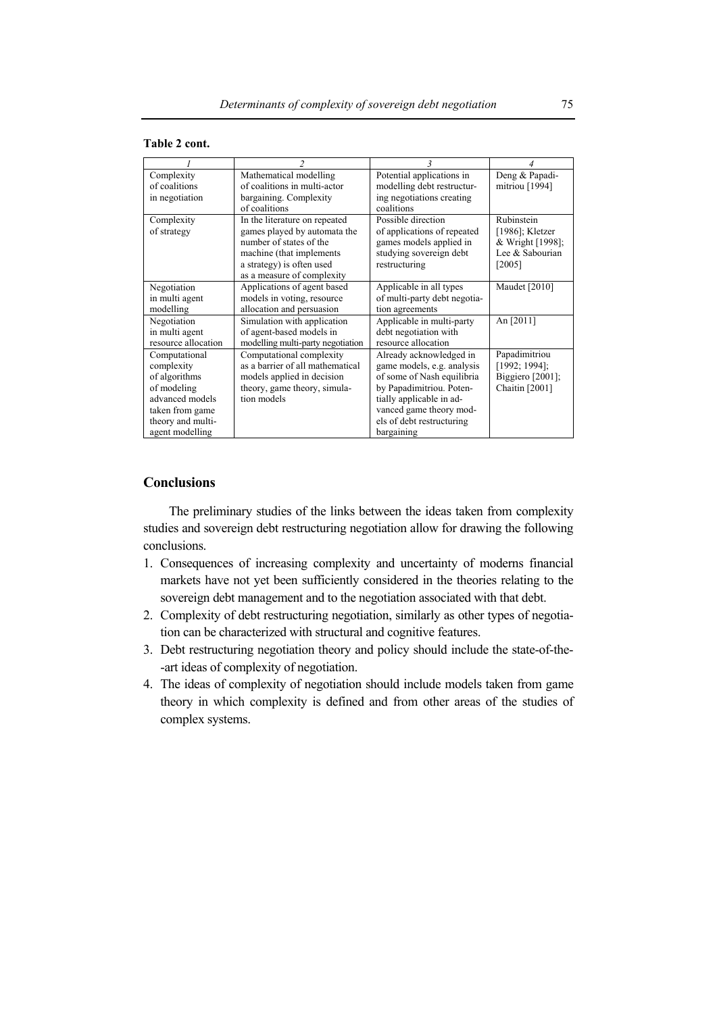| Table 2 cont. |  |  |
|---------------|--|--|
|---------------|--|--|

|                     | $\overline{\mathfrak{c}}$         |                              |                     |
|---------------------|-----------------------------------|------------------------------|---------------------|
| Complexity          | Mathematical modelling            | Potential applications in    | Deng & Papadi-      |
| of coalitions       | of coalitions in multi-actor      | modelling debt restructur-   | mitriou [1994]      |
| in negotiation      | bargaining. Complexity            | ing negotiations creating    |                     |
|                     | of coalitions                     | coalitions                   |                     |
| Complexity          | In the literature on repeated     | Possible direction           | Rubinstein          |
| of strategy         | games played by automata the      | of applications of repeated  | $[1986]$ ; Kletzer  |
|                     | number of states of the           | games models applied in      | & Wright [1998];    |
|                     | machine (that implements)         | studying sovereign debt      | Lee & Sabourian     |
|                     | a strategy) is often used         | restructuring                | $[2005]$            |
|                     | as a measure of complexity        |                              |                     |
| Negotiation         | Applications of agent based       | Applicable in all types      | Maudet [2010]       |
| in multi agent      | models in voting, resource        | of multi-party debt negotia- |                     |
| modelling           | allocation and persuasion         | tion agreements              |                     |
| Negotiation         | Simulation with application       | Applicable in multi-party    | An [2011]           |
| in multi agent      | of agent-based models in          | debt negotiation with        |                     |
| resource allocation | modelling multi-party negotiation | resource allocation          |                     |
| Computational       | Computational complexity          | Already acknowledged in      | Papadimitriou       |
| complexity          | as a barrier of all mathematical  | game models, e.g. analysis   | $[1992; 1994]$ ;    |
| of algorithms       | models applied in decision        | of some of Nash equilibria   | Biggiero $[2001]$ ; |
| of modeling         | theory, game theory, simula-      | by Papadimitriou. Poten-     | Chaitin [2001]      |
| advanced models     | tion models                       | tially applicable in ad-     |                     |
| taken from game     |                                   | vanced game theory mod-      |                     |
| theory and multi-   |                                   | els of debt restructuring    |                     |
| agent modelling     |                                   | bargaining                   |                     |

# **Conclusions**

The preliminary studies of the links between the ideas taken from complexity studies and sovereign debt restructuring negotiation allow for drawing the following conclusions.

- 1. Consequences of increasing complexity and uncertainty of moderns financial markets have not yet been sufficiently considered in the theories relating to the sovereign debt management and to the negotiation associated with that debt.
- 2. Complexity of debt restructuring negotiation, similarly as other types of negotiation can be characterized with structural and cognitive features.
- 3. Debt restructuring negotiation theory and policy should include the state-of-the- -art ideas of complexity of negotiation.
- 4. The ideas of complexity of negotiation should include models taken from game theory in which complexity is defined and from other areas of the studies of complex systems.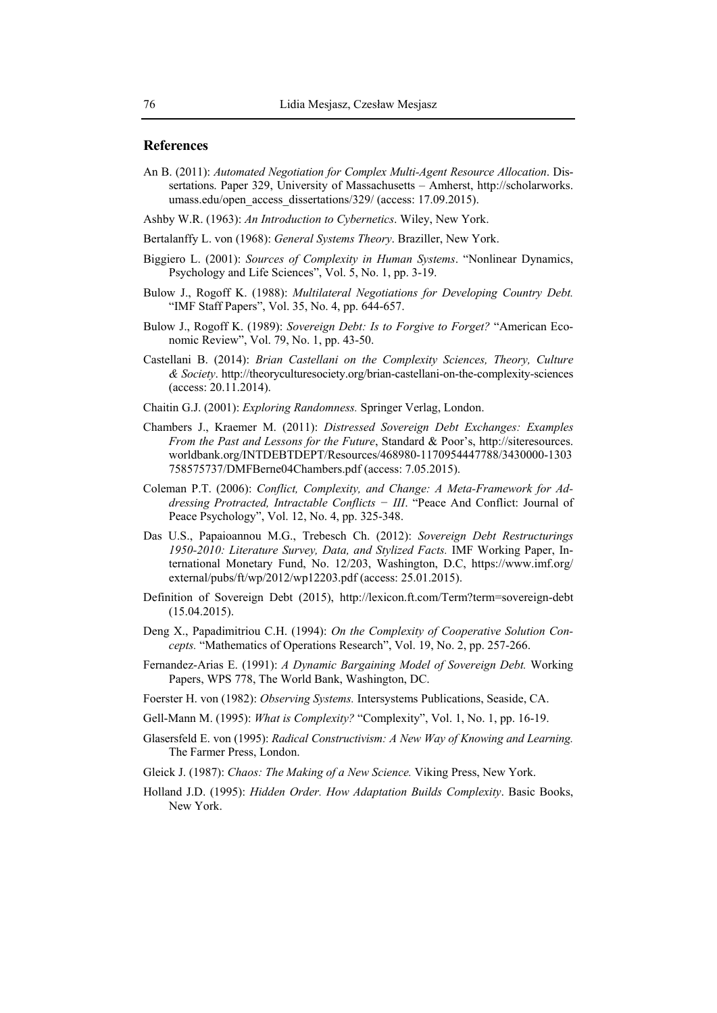#### **References**

- An B. (2011): *Automated Negotiation for Complex Multi-Agent Resource Allocation*. Dissertations. Paper 329, University of Massachusetts – Amherst, http://scholarworks. umass.edu/open\_access\_dissertations/329/ (access: 17.09.2015).
- Ashby W.R. (1963): *An Introduction to Cybernetics*. Wiley, New York.
- Bertalanffy L. von (1968): *General Systems Theory*. Braziller, New York.
- Biggiero L. (2001): *Sources of Complexity in Human Systems*. "Nonlinear Dynamics, Psychology and Life Sciences", Vol. 5, No. 1, pp. 3-19.
- Bulow J., Rogoff K. (1988): *Multilateral Negotiations for Developing Country Debt.* "IMF Staff Papers", Vol. 35, No. 4, pp. 644-657.
- Bulow J., Rogoff K. (1989): *Sovereign Debt: Is to Forgive to Forget?* "American Economic Review", Vol. 79, No. 1, pp. 43-50.
- Castellani B. (2014): *Brian Castellani on the Complexity Sciences, Theory, Culture & Society*. http://theoryculturesociety.org/brian-castellani-on-the-complexity-sciences (access: 20.11.2014).
- Chaitin G.J. (2001): *Exploring Randomness.* Springer Verlag, London.
- Chambers J., Kraemer M. (2011): *Distressed Sovereign Debt Exchanges: Examples From the Past and Lessons for the Future*, Standard & Poor's, http://siteresources. worldbank.org/INTDEBTDEPT/Resources/468980-1170954447788/3430000-1303 758575737/DMFBerne04Chambers.pdf (access: 7.05.2015).
- Coleman P.T. (2006): *Conflict, Complexity, and Change: A Meta-Framework for Addressing Protracted, Intractable Conflicts − III*. "Peace And Conflict: Journal of Peace Psychology", Vol. 12, No. 4, pp. 325-348.
- Das U.S., Papaioannou M.G., Trebesch Ch. (2012): *Sovereign Debt Restructurings 1950-2010: Literature Survey, Data, and Stylized Facts.* IMF Working Paper, International Monetary Fund, No. 12/203, Washington, D.C, https://www.imf.org/ external/pubs/ft/wp/2012/wp12203.pdf (access: 25.01.2015).
- Definition of Sovereign Debt (2015), http://lexicon.ft.com/Term?term=sovereign-debt (15.04.2015).
- Deng X., Papadimitriou C.H. (1994): *On the Complexity of Cooperative Solution Concepts.* "Mathematics of Operations Research", Vol. 19, No. 2, pp. 257-266.
- Fernandez-Arias E. (1991): *A Dynamic Bargaining Model of Sovereign Debt.* Working Papers, WPS 778, The World Bank, Washington, DC.
- Foerster H. von (1982): *Observing Systems.* Intersystems Publications, Seaside, CA.
- Gell-Mann M. (1995): *What is Complexity?* "Complexity", Vol. 1, No. 1, pp. 16-19.
- Glasersfeld E. von (1995): *Radical Constructivism: A New Way of Knowing and Learning.*  The Farmer Press, London.
- Gleick J. (1987): *Chaos: The Making of a New Science.* Viking Press, New York.
- Holland J.D. (1995): *Hidden Order. How Adaptation Builds Complexity*. Basic Books, New York.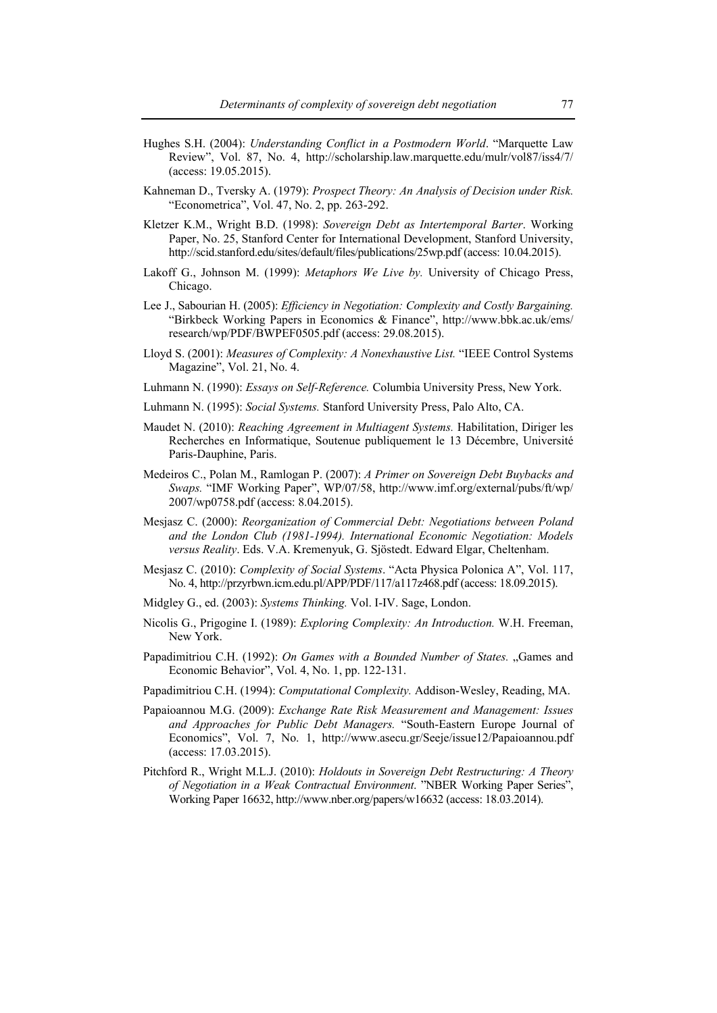- Hughes S.H. (2004): *Understanding Conflict in a Postmodern World*. "Marquette Law Review", Vol. 87, No. 4, http://scholarship.law.marquette.edu/mulr/vol87/iss4/7/ (access: 19.05.2015).
- Kahneman D., Tversky A. (1979): *Prospect Theory: An Analysis of Decision under Risk.*  "Econometrica", Vol. 47, No. 2, pp. 263-292.
- Kletzer K.M., Wright B.D. (1998): *Sovereign Debt as Intertemporal Barter*. Working Paper, No. 25, Stanford Center for International Development, Stanford University, http://scid.stanford.edu/sites/default/files/publications/25wp.pdf (access: 10.04.2015).
- Lakoff G., Johnson M. (1999): *Metaphors We Live by.* University of Chicago Press, Chicago.
- Lee J., Sabourian H. (2005): *Efficiency in Negotiation: Complexity and Costly Bargaining.* "Birkbeck Working Papers in Economics & Finance", http://www.bbk.ac.uk/ems/ research/wp/PDF/BWPEF0505.pdf (access: 29.08.2015).
- Lloyd S. (2001): *Measures of Complexity: A Nonexhaustive List.* "IEEE Control Systems Magazine", Vol. 21, No. 4.
- Luhmann N. (1990): *Essays on Self-Reference.* Columbia University Press, New York.
- Luhmann N. (1995): *Social Systems.* Stanford University Press, Palo Alto, CA.
- Maudet N. (2010): *Reaching Agreement in Multiagent Systems.* Habilitation, Diriger les Recherches en Informatique, Soutenue publiquement le 13 Décembre, Université Paris-Dauphine, Paris.
- Medeiros C., Polan M., Ramlogan P. (2007): *A Primer on Sovereign Debt Buybacks and Swaps.* "IMF Working Paper", WP/07/58, http://www.imf.org/external/pubs/ft/wp/ 2007/wp0758.pdf (access: 8.04.2015).
- Mesjasz C. (2000): *Reorganization of Commercial Debt: Negotiations between Poland and the London Club (1981-1994). International Economic Negotiation: Models versus Reality*. Eds. V.A. Kremenyuk, G. Sjöstedt. Edward Elgar, Cheltenham.
- Mesjasz C. (2010): *Complexity of Social Systems*. "Acta Physica Polonica A", Vol. 117, No. 4, http://przyrbwn.icm.edu.pl/APP/PDF/117/a117z468.pdf (access: 18.09.2015).
- Midgley G., ed. (2003): *Systems Thinking.* Vol. I-IV. Sage, London.
- Nicolis G., Prigogine I. (1989): *Exploring Complexity: An Introduction.* W.H. Freeman, New York.
- Papadimitriou C.H. (1992): *On Games with a Bounded Number of States.* "Games and Economic Behavior", Vol. 4, No. 1, pp. 122-131.
- Papadimitriou C.H. (1994): *Computational Complexity.* Addison-Wesley, Reading, MA.
- Papaioannou M.G. (2009): *Exchange Rate Risk Measurement and Management: Issues and Approaches for Public Debt Managers.* "South-Eastern Europe Journal of Economics", Vol. 7, No. 1, http://www.asecu.gr/Seeje/issue12/Papaioannou.pdf (access: 17.03.2015).
- Pitchford R., Wright M.L.J. (2010): *Holdouts in Sovereign Debt Restructuring: A Theory of Negotiation in a Weak Contractual Environment*. "NBER Working Paper Series", Working Paper 16632, http://www.nber.org/papers/w16632 (access: 18.03.2014).